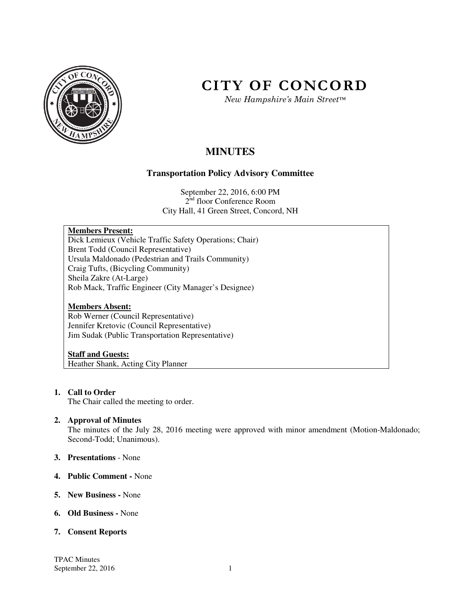

# **CITY OF CONCORD**

*New Hampshire's Main Street™*

# **MINUTES**

# **Transportation Policy Advisory Committee**

September 22, 2016, 6:00 PM 2<sup>nd</sup> floor Conference Room City Hall, 41 Green Street, Concord, NH

# **Members Present:**

Dick Lemieux (Vehicle Traffic Safety Operations; Chair) Brent Todd (Council Representative) Ursula Maldonado (Pedestrian and Trails Community) Craig Tufts, (Bicycling Community) Sheila Zakre (At-Large) Rob Mack, Traffic Engineer (City Manager's Designee)

#### **Members Absent:**

Rob Werner (Council Representative) Jennifer Kretovic (Council Representative) Jim Sudak (Public Transportation Representative)

#### **Staff and Guests:**

Heather Shank, Acting City Planner

# **1. Call to Order**

The Chair called the meeting to order.

#### **2. Approval of Minutes**

The minutes of the July 28, 2016 meeting were approved with minor amendment (Motion-Maldonado; Second-Todd; Unanimous).

- **3. Presentations** None
- **4. Public Comment** None
- **5. New Business** None
- **6. Old Business** None

#### **7. Consent Reports**

TPAC Minutes September 22, 2016  $1$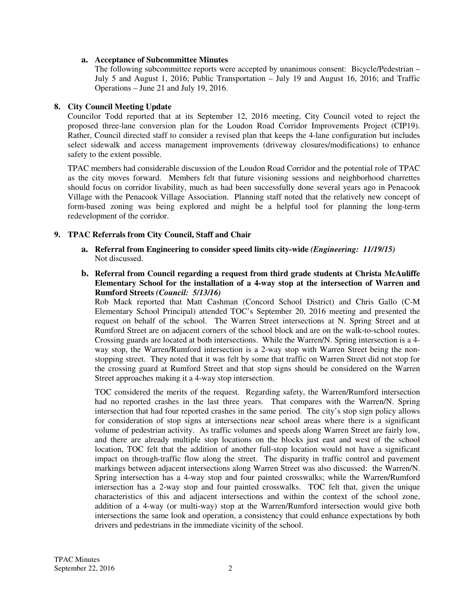#### **a. Acceptance of Subcommittee Minutes**

The following subcommittee reports were accepted by unanimous consent: Bicycle/Pedestrian – July 5 and August 1, 2016; Public Transportation – July 19 and August 16, 2016; and Traffic Operations – June 21 and July 19, 2016.

### **8. City Council Meeting Update**

Councilor Todd reported that at its September 12, 2016 meeting, City Council voted to reject the proposed three-lane conversion plan for the Loudon Road Corridor Improvements Project (CIP19). Rather, Council directed staff to consider a revised plan that keeps the 4-lane configuration but includes select sidewalk and access management improvements (driveway closures/modifications) to enhance safety to the extent possible.

TPAC members had considerable discussion of the Loudon Road Corridor and the potential role of TPAC as the city moves forward. Members felt that future visioning sessions and neighborhood charrettes should focus on corridor livability, much as had been successfully done several years ago in Penacook Village with the Penacook Village Association. Planning staff noted that the relatively new concept of form-based zoning was being explored and might be a helpful tool for planning the long-term redevelopment of the corridor.

# **9. TPAC Referrals from City Council, Staff and Chair**

- **a. Referral from Engineering to consider speed limits city-wide** *(Engineering: 11/19/15)* Not discussed.
- **b. Referral from Council regarding a request from third grade students at Christa McAuliffe Elementary School for the installation of a 4-way stop at the intersection of Warren and Rumford Streets** *(Council: 5/13/16)*

Rob Mack reported that Matt Cashman (Concord School District) and Chris Gallo (C-M Elementary School Principal) attended TOC's September 20, 2016 meeting and presented the request on behalf of the school. The Warren Street intersections at N. Spring Street and at Rumford Street are on adjacent corners of the school block and are on the walk-to-school routes. Crossing guards are located at both intersections. While the Warren/N. Spring intersection is a 4 way stop, the Warren/Rumford intersection is a 2-way stop with Warren Street being the nonstopping street. They noted that it was felt by some that traffic on Warren Street did not stop for the crossing guard at Rumford Street and that stop signs should be considered on the Warren Street approaches making it a 4-way stop intersection.

TOC considered the merits of the request. Regarding safety, the Warren/Rumford intersection had no reported crashes in the last three years. That compares with the Warren/N. Spring intersection that had four reported crashes in the same period. The city's stop sign policy allows for consideration of stop signs at intersections near school areas where there is a significant volume of pedestrian activity. As traffic volumes and speeds along Warren Street are fairly low, and there are already multiple stop locations on the blocks just east and west of the school location, TOC felt that the addition of another full-stop location would not have a significant impact on through-traffic flow along the street. The disparity in traffic control and pavement markings between adjacent intersections along Warren Street was also discussed: the Warren/N. Spring intersection has a 4-way stop and four painted crosswalks; while the Warren/Rumford intersection has a 2-way stop and four painted crosswalks. TOC felt that, given the unique characteristics of this and adjacent intersections and within the context of the school zone, addition of a 4-way (or multi-way) stop at the Warren/Rumford intersection would give both intersections the same look and operation, a consistency that could enhance expectations by both drivers and pedestrians in the immediate vicinity of the school.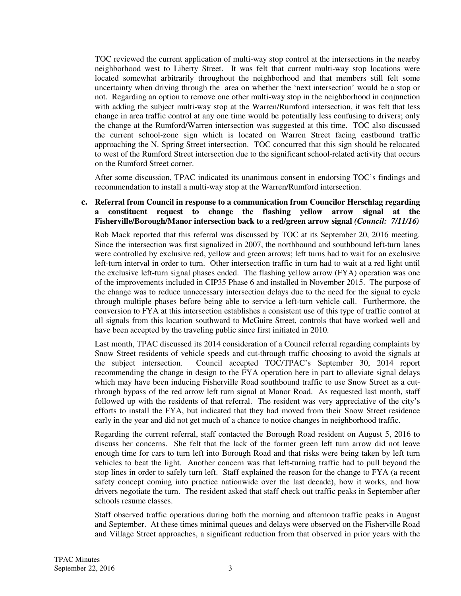TOC reviewed the current application of multi-way stop control at the intersections in the nearby neighborhood west to Liberty Street. It was felt that current multi-way stop locations were located somewhat arbitrarily throughout the neighborhood and that members still felt some uncertainty when driving through the area on whether the 'next intersection' would be a stop or not. Regarding an option to remove one other multi-way stop in the neighborhood in conjunction with adding the subject multi-way stop at the Warren/Rumford intersection, it was felt that less change in area traffic control at any one time would be potentially less confusing to drivers; only the change at the Rumford/Warren intersection was suggested at this time. TOC also discussed the current school-zone sign which is located on Warren Street facing eastbound traffic approaching the N. Spring Street intersection. TOC concurred that this sign should be relocated to west of the Rumford Street intersection due to the significant school-related activity that occurs on the Rumford Street corner.

After some discussion, TPAC indicated its unanimous consent in endorsing TOC's findings and recommendation to install a multi-way stop at the Warren/Rumford intersection.

#### **c. Referral from Council in response to a communication from Councilor Herschlag regarding a constituent request to change the flashing yellow arrow signal at the Fisherville/Borough/Manor intersection back to a red/green arrow signal** *(Council: 7/11/16)*

Rob Mack reported that this referral was discussed by TOC at its September 20, 2016 meeting. Since the intersection was first signalized in 2007, the northbound and southbound left-turn lanes were controlled by exclusive red, yellow and green arrows; left turns had to wait for an exclusive left-turn interval in order to turn. Other intersection traffic in turn had to wait at a red light until the exclusive left-turn signal phases ended. The flashing yellow arrow (FYA) operation was one of the improvements included in CIP35 Phase 6 and installed in November 2015. The purpose of the change was to reduce unnecessary intersection delays due to the need for the signal to cycle through multiple phases before being able to service a left-turn vehicle call. Furthermore, the conversion to FYA at this intersection establishes a consistent use of this type of traffic control at all signals from this location southward to McGuire Street, controls that have worked well and have been accepted by the traveling public since first initiated in 2010.

Last month, TPAC discussed its 2014 consideration of a Council referral regarding complaints by Snow Street residents of vehicle speeds and cut-through traffic choosing to avoid the signals at the subject intersection. Council accepted TOC/TPAC's September 30, 2014 report recommending the change in design to the FYA operation here in part to alleviate signal delays which may have been inducing Fisherville Road southbound traffic to use Snow Street as a cutthrough bypass of the red arrow left turn signal at Manor Road. As requested last month, staff followed up with the residents of that referral. The resident was very appreciative of the city's efforts to install the FYA, but indicated that they had moved from their Snow Street residence early in the year and did not get much of a chance to notice changes in neighborhood traffic.

Regarding the current referral, staff contacted the Borough Road resident on August 5, 2016 to discuss her concerns. She felt that the lack of the former green left turn arrow did not leave enough time for cars to turn left into Borough Road and that risks were being taken by left turn vehicles to beat the light. Another concern was that left-turning traffic had to pull beyond the stop lines in order to safely turn left. Staff explained the reason for the change to FYA (a recent safety concept coming into practice nationwide over the last decade), how it works, and how drivers negotiate the turn. The resident asked that staff check out traffic peaks in September after schools resume classes.

Staff observed traffic operations during both the morning and afternoon traffic peaks in August and September. At these times minimal queues and delays were observed on the Fisherville Road and Village Street approaches, a significant reduction from that observed in prior years with the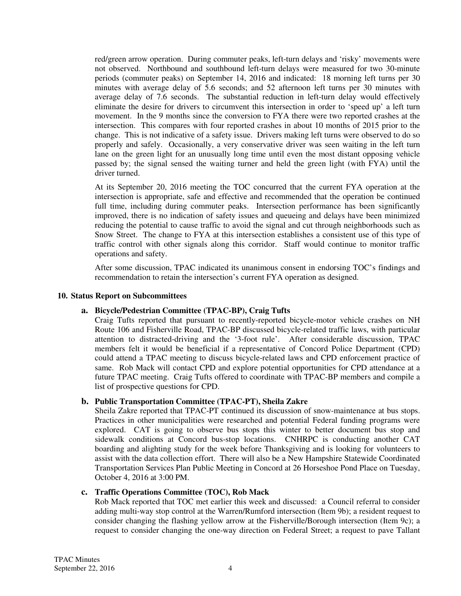red/green arrow operation. During commuter peaks, left-turn delays and 'risky' movements were not observed. Northbound and southbound left-turn delays were measured for two 30-minute periods (commuter peaks) on September 14, 2016 and indicated: 18 morning left turns per 30 minutes with average delay of 5.6 seconds; and 52 afternoon left turns per 30 minutes with average delay of 7.6 seconds. The substantial reduction in left-turn delay would effectively eliminate the desire for drivers to circumvent this intersection in order to 'speed up' a left turn movement. In the 9 months since the conversion to FYA there were two reported crashes at the intersection. This compares with four reported crashes in about 10 months of 2015 prior to the change. This is not indicative of a safety issue. Drivers making left turns were observed to do so properly and safely. Occasionally, a very conservative driver was seen waiting in the left turn lane on the green light for an unusually long time until even the most distant opposing vehicle passed by; the signal sensed the waiting turner and held the green light (with FYA) until the driver turned.

At its September 20, 2016 meeting the TOC concurred that the current FYA operation at the intersection is appropriate, safe and effective and recommended that the operation be continued full time, including during commuter peaks. Intersection performance has been significantly improved, there is no indication of safety issues and queueing and delays have been minimized reducing the potential to cause traffic to avoid the signal and cut through neighborhoods such as Snow Street. The change to FYA at this intersection establishes a consistent use of this type of traffic control with other signals along this corridor. Staff would continue to monitor traffic operations and safety.

After some discussion, TPAC indicated its unanimous consent in endorsing TOC's findings and recommendation to retain the intersection's current FYA operation as designed.

#### **10. Status Report on Subcommittees**

# **a. Bicycle/Pedestrian Committee (TPAC-BP), Craig Tufts**

Craig Tufts reported that pursuant to recently-reported bicycle-motor vehicle crashes on NH Route 106 and Fisherville Road, TPAC-BP discussed bicycle-related traffic laws, with particular attention to distracted-driving and the '3-foot rule'. After considerable discussion, TPAC members felt it would be beneficial if a representative of Concord Police Department (CPD) could attend a TPAC meeting to discuss bicycle-related laws and CPD enforcement practice of same. Rob Mack will contact CPD and explore potential opportunities for CPD attendance at a future TPAC meeting. Craig Tufts offered to coordinate with TPAC-BP members and compile a list of prospective questions for CPD.

# **b. Public Transportation Committee (TPAC-PT), Sheila Zakre**

Sheila Zakre reported that TPAC-PT continued its discussion of snow-maintenance at bus stops. Practices in other municipalities were researched and potential Federal funding programs were explored. CAT is going to observe bus stops this winter to better document bus stop and sidewalk conditions at Concord bus-stop locations. CNHRPC is conducting another CAT boarding and alighting study for the week before Thanksgiving and is looking for volunteers to assist with the data collection effort. There will also be a New Hampshire Statewide Coordinated Transportation Services Plan Public Meeting in Concord at 26 Horseshoe Pond Place on Tuesday, October 4, 2016 at 3:00 PM.

#### **c. Traffic Operations Committee (TOC), Rob Mack**

Rob Mack reported that TOC met earlier this week and discussed: a Council referral to consider adding multi-way stop control at the Warren/Rumford intersection (Item 9b); a resident request to consider changing the flashing yellow arrow at the Fisherville/Borough intersection (Item 9c); a request to consider changing the one-way direction on Federal Street; a request to pave Tallant